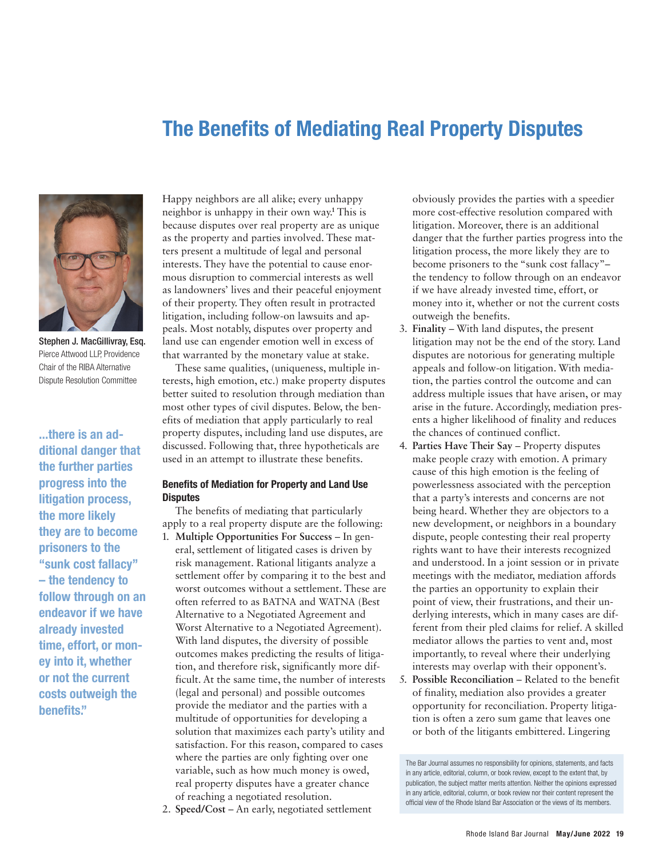### The Benefits of Mediating Real Property Disputes



Stephen J. MacGillivray, Esq. Pierce Attwood LLP, Providence Chair of the RIBA Alternative Dispute Resolution Committee

...there is an additional danger that the further parties progress into the litigation process, the more likely they are to become prisoners to the "sunk cost fallacy" – the tendency to follow through on an endeavor if we have already invested time, effort, or money into it, whether or not the current costs outweigh the benefits."

Happy neighbors are all alike; every unhappy neighbor is unhappy in their own way. **<sup>1</sup>** This is because disputes over real property are as unique as the property and parties involved. These matters present a multitude of legal and personal interests. They have the potential to cause enormous disruption to commercial interests as well as landowners' lives and their peaceful enjoyment of their property. They often result in protracted litigation, including follow-on lawsuits and appeals. Most notably, disputes over property and land use can engender emotion well in excess of that warranted by the monetary value at stake.

These same qualities, (uniqueness, multiple interests, high emotion, etc.) make property disputes better suited to resolution through mediation than most other types of civil disputes. Below, the benefits of mediation that apply particularly to real property disputes, including land use disputes, are discussed. Following that, three hypotheticals are used in an attempt to illustrate these benefits.

#### Benefits of Mediation for Property and Land Use **Disputes**

The benefits of mediating that particularly apply to a real property dispute are the following:

- 1. **Multiple Opportunities For Success** In general, settlement of litigated cases is driven by risk management. Rational litigants analyze a settlement offer by comparing it to the best and worst outcomes without a settlement. These are often referred to as BATNA and WATNA (Best Alternative to a Negotiated Agreement and Worst Alternative to a Negotiated Agreement). With land disputes, the diversity of possible outcomes makes predicting the results of litigation, and therefore risk, significantly more difficult. At the same time, the number of interests (legal and personal) and possible outcomes provide the mediator and the parties with a multitude of opportunities for developing a solution that maximizes each party's utility and satisfaction. For this reason, compared to cases where the parties are only fighting over one variable, such as how much money is owed, real property disputes have a greater chance of reaching a negotiated resolution.
- 2. **Speed/Cost** An early, negotiated settlement

obviously provides the parties with a speedier more cost-effective resolution compared with litigation. Moreover, there is an additional danger that the further parties progress into the litigation process, the more likely they are to become prisoners to the "sunk cost fallacy"– the tendency to follow through on an endeavor if we have already invested time, effort, or money into it, whether or not the current costs outweigh the benefits.

- 3. **Finality** With land disputes, the present litigation may not be the end of the story. Land disputes are notorious for generating multiple appeals and follow-on litigation. With mediation, the parties control the outcome and can address multiple issues that have arisen, or may arise in the future. Accordingly, mediation presents a higher likelihood of finality and reduces the chances of continued conflict.
- 4. **Parties Have Their Say** Property disputes make people crazy with emotion. A primary cause of this high emotion is the feeling of powerlessness associated with the perception that a party's interests and concerns are not being heard. Whether they are objectors to a new development, or neighbors in a boundary dispute, people contesting their real property rights want to have their interests recognized and understood. In a joint session or in private meetings with the mediator, mediation affords the parties an opportunity to explain their point of view, their frustrations, and their underlying interests, which in many cases are different from their pled claims for relief. A skilled mediator allows the parties to vent and, most importantly, to reveal where their underlying interests may overlap with their opponent's.
- 5. **Possible Reconciliation** Related to the benefit of finality, mediation also provides a greater opportunity for reconciliation. Property litigation is often a zero sum game that leaves one or both of the litigants embittered. Lingering

The Bar Journal assumes no responsibility for opinions, statements, and facts in any article, editorial, column, or book review, except to the extent that, by publication, the subject matter merits attention. Neither the opinions expressed in any article, editorial, column, or book review nor their content represent the official view of the Rhode Island Bar Association or the views of its members.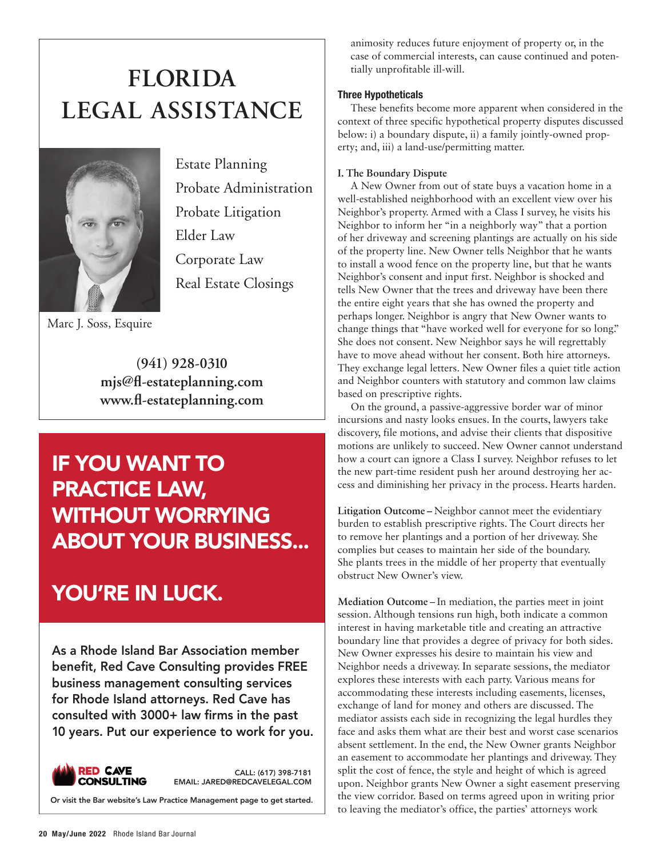# **FLORIDA [LEGAL ASSISTANCE](https://www.fl-estateplanning.com)**



Estate Planning Probate Administration Probate Litigation Elder Law Corporate Law Real Estate Closings

Marc J. Soss, Esquire

**(941) 928-0310 [mjs@fl-estateplanning.com](mailto:mjs@fl-estateplanning.com) [www.fl-estateplanning.com](https://www.fl-estateplanning.com)**

## IF YOU WANT TO PRACTICE LAW, WITHOUT WORRYING [ABOUT YOUR BUSINESS...](https://www.redcavelegal.com)

### YOU'RE IN LUCK.

As a Rhode Island Bar Association member benefit, Red Cave Consulting provides FREE business management consulting services for Rhode Island attorneys. Red Cave has consulted with 3000+ law firms in the past 10 years. Put our experience to work for you.



CALL: (617) 398-7181 [EMAIL: JARED@REDCAVELEGAL.COM](mailto:jared@redcavelegal.com)

Or visit th[e Bar website's Law Practice Management page to get started.](https://ribar.com/members-only-area/law-practice-management/)

animosity reduces future enjoyment of property or, in the case of commercial interests, can cause continued and potentially unprofitable ill-will.

#### Three Hypotheticals

These benefits become more apparent when considered in the context of three specific hypothetical property disputes discussed below: i) a boundary dispute, ii) a family jointly-owned property; and, iii) a land-use/permitting matter.

#### **I. The Boundary Dispute**

A New Owner from out of state buys a vacation home in a well-established neighborhood with an excellent view over his Neighbor's property. Armed with a Class I survey, he visits his Neighbor to inform her "in a neighborly way" that a portion of her driveway and screening plantings are actually on his side of the property line. New Owner tells Neighbor that he wants to install a wood fence on the property line, but that he wants Neighbor's consent and input first. Neighbor is shocked and tells New Owner that the trees and driveway have been there the entire eight years that she has owned the property and perhaps longer. Neighbor is angry that New Owner wants to change things that "have worked well for everyone for so long." She does not consent. New Neighbor says he will regrettably have to move ahead without her consent. Both hire attorneys. They exchange legal letters. New Owner files a quiet title action and Neighbor counters with statutory and common law claims based on prescriptive rights.

On the ground, a passive-aggressive border war of minor incursions and nasty looks ensues. In the courts, lawyers take discovery, file motions, and advise their clients that dispositive motions are unlikely to succeed. New Owner cannot understand how a court can ignore a Class I survey. Neighbor refuses to let the new part-time resident push her around destroying her access and diminishing her privacy in the process. Hearts harden.

**Litigation Outcome –** Neighbor cannot meet the evidentiary burden to establish prescriptive rights. The Court directs her to remove her plantings and a portion of her driveway. She complies but ceases to maintain her side of the boundary. She plants trees in the middle of her property that eventually obstruct New Owner's view.

**Mediation Outcome** – In mediation, the parties meet in joint session. Although tensions run high, both indicate a common interest in having marketable title and creating an attractive boundary line that provides a degree of privacy for both sides. New Owner expresses his desire to maintain his view and Neighbor needs a driveway. In separate sessions, the mediator explores these interests with each party. Various means for accommodating these interests including easements, licenses, exchange of land for money and others are discussed. The mediator assists each side in recognizing the legal hurdles they face and asks them what are their best and worst case scenarios absent settlement. In the end, the New Owner grants Neighbor an easement to accommodate her plantings and driveway. They split the cost of fence, the style and height of which is agreed upon. Neighbor grants New Owner a sight easement preserving the view corridor. Based on terms agreed upon in writing prior to leaving the mediator's office, the parties' attorneys work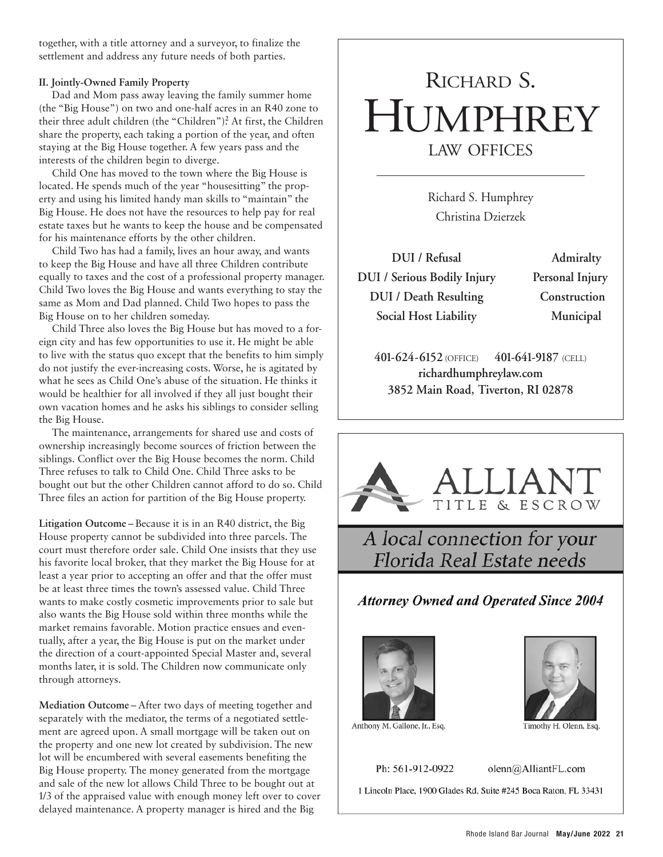together, with a title attorney and a surveyor, to finalize the settlement and address any future needs of both parties.

#### **II. Jointly-Owned Family Property**

Dad and Mom pass away leaving the family summer home (the "Big House") on two and one-half acres in an R40 zone to their three adult children (the "Children").**<sup>2</sup>** At first, the Children share the property, each taking a portion of the year, and often staying at the Big House together. A few years pass and the interests of the children begin to diverge.

Child One has moved to the town where the Big House is located. He spends much of the year "housesitting" the property and using his limited handy man skills to "maintain" the Big House. He does not have the resources to help pay for real estate taxes but he wants to keep the house and be compensated for his maintenance efforts by the other children.

Child Two has had a family, lives an hour away, and wants to keep the Big House and have all three Children contribute equally to taxes and the cost of a professional property manager. Child Two loves the Big House and wants everything to stay the same as Mom and Dad planned. Child Two hopes to pass the Big House on to her children someday.

Child Three also loves the Big House but has moved to a foreign city and has few opportunities to use it. He might be able to live with the status quo except that the benefits to him simply do not justify the ever-increasing costs. Worse, he is agitated by what he sees as Child One's abuse of the situation. He thinks it would be healthier for all involved if they all just bought their own vacation homes and he asks his siblings to consider selling the Big House.

The maintenance, arrangements for shared use and costs of ownership increasingly become sources of friction between the siblings. Conflict over the Big House becomes the norm. Child Three refuses to talk to Child One. Child Three asks to be bought out but the other Children cannot afford to do so. Child Three files an action for partition of the Big House property.

**Litigation Outcome** – Because it is in an R40 district, the Big House property cannot be subdivided into three parcels. The court must therefore order sale. Child One insists that they use his favorite local broker, that they market the Big House for at least a year prior to accepting an offer and that the offer must be at least three times the town's assessed value. Child Three wants to make costly cosmetic improvements prior to sale but also wants the Big House sold within three months while the market remains favorable. Motion practice ensues and eventually, after a year, the Big House is put on the market under the direction of a court-appointed Special Master and, several months later, it is sold. The Children now communicate only through attorneys.

**Mediation Outcome** – After two days of meeting together and separately with the mediator, the terms of a negotiated settlement are agreed upon. A small mortgage will be taken out on the property and one new lot created by subdivision. The new lot will be encumbered with several easements benefiting the Big House property. The money generated from the mortgage and sale of the new lot allows Child Three to be bought out at 1/3 of the appraised value with enough money left over to cover delayed maintenance. A property manager is hired and the Big

# RICHARD S. **HUMPHREY** LAW OFFICES

Richard S. Humphrey Christina Dzierzek

**DUI / Refusal Admiralty DUI / Serious Bodily Injury Personal Injury DUI / Death Resulting Construction Social Host Liability Municipal**

**401-624-6152** (OFFICE) **401-641-9187** (CELL) **richardhumphreylaw.com 3852 Main Road, Tiverton, RI 02878**



Anthony M. Gallone, Jr., Esq.

Timothy H. Olenn, Esq.

Ph: 561-912-0922

olenn@AlliantFL.com

1 Lincoln Place, 1900 Glades Rd, Suite #245 Boca Raton, FL 33431